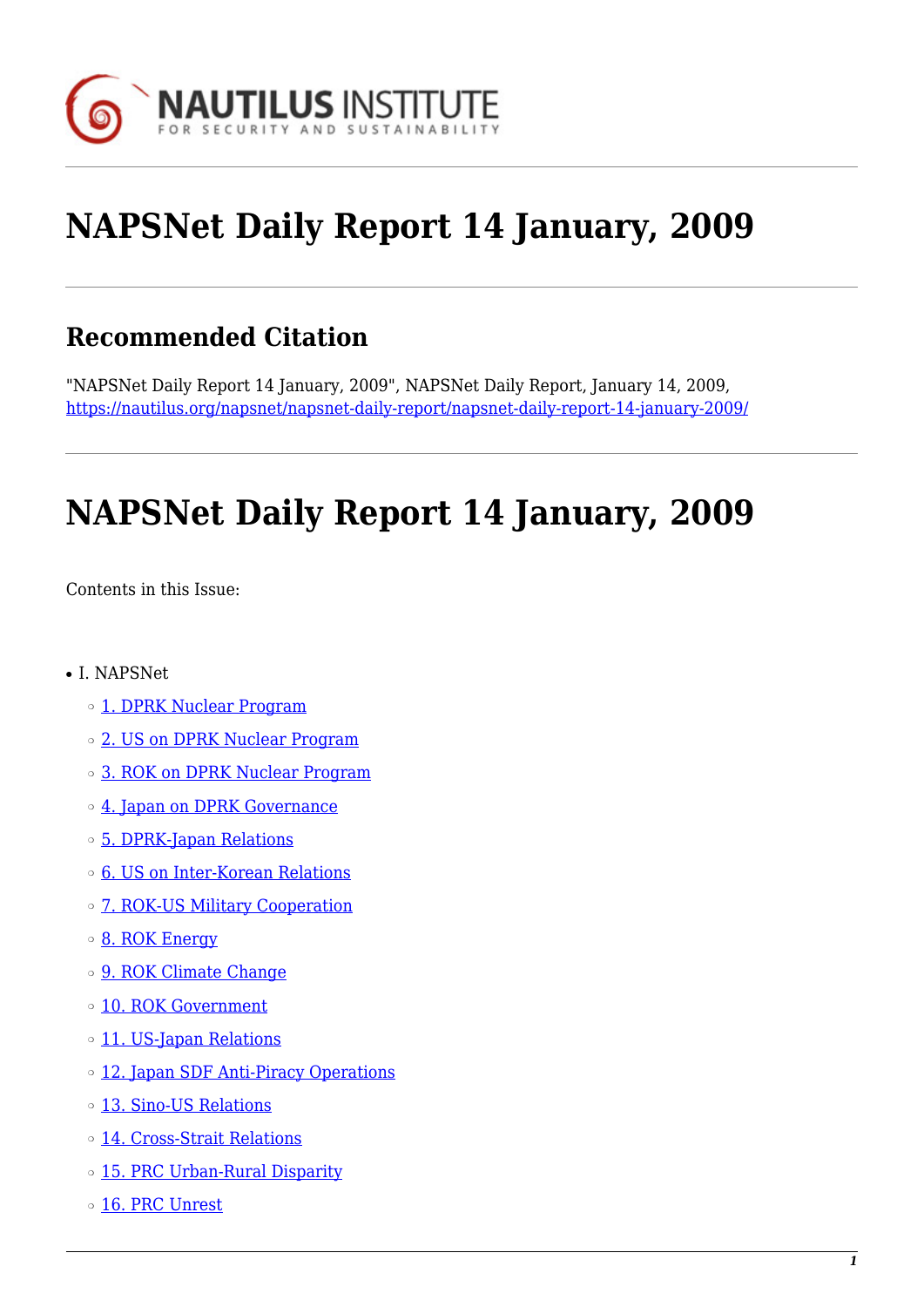

# **NAPSNet Daily Report 14 January, 2009**

# **Recommended Citation**

"NAPSNet Daily Report 14 January, 2009", NAPSNet Daily Report, January 14, 2009, <https://nautilus.org/napsnet/napsnet-daily-report/napsnet-daily-report-14-january-2009/>

# **NAPSNet Daily Report 14 January, 2009**

<span id="page-0-0"></span>Contents in this Issue:

- I. NAPSNet
	- ❍ [1. DPRK Nuclear Program](#page-1-0)
	- ❍ [2. US on DPRK Nuclear Program](#page-1-1)
	- ❍ [3. ROK on DPRK Nuclear Program](#page-2-0)
	- ❍ [4. Japan on DPRK Governance](#page-2-1)
	- ❍ [5. DPRK-Japan Relations](#page-2-2)
	- ❍ [6. US on Inter-Korean Relations](#page-2-3)
	- o [7. ROK-US Military Cooperation](#page-3-0)
	- [8. ROK Energy](#page-3-1)
	- o [9. ROK Climate Change](#page-3-2)
	- o [10. ROK Government](#page-3-3)
	- o [11. US-Japan Relations](#page-4-0)
	- o [12. Japan SDF Anti-Piracy Operations](#page-4-1)
	- ❍ [13. Sino-US Relations](#page-4-2)
	- ❍ [14. Cross-Strait Relations](#page-4-3)
	- o [15. PRC Urban-Rural Disparity](#page-4-4)
	- o [16. PRC Unrest](#page-5-0)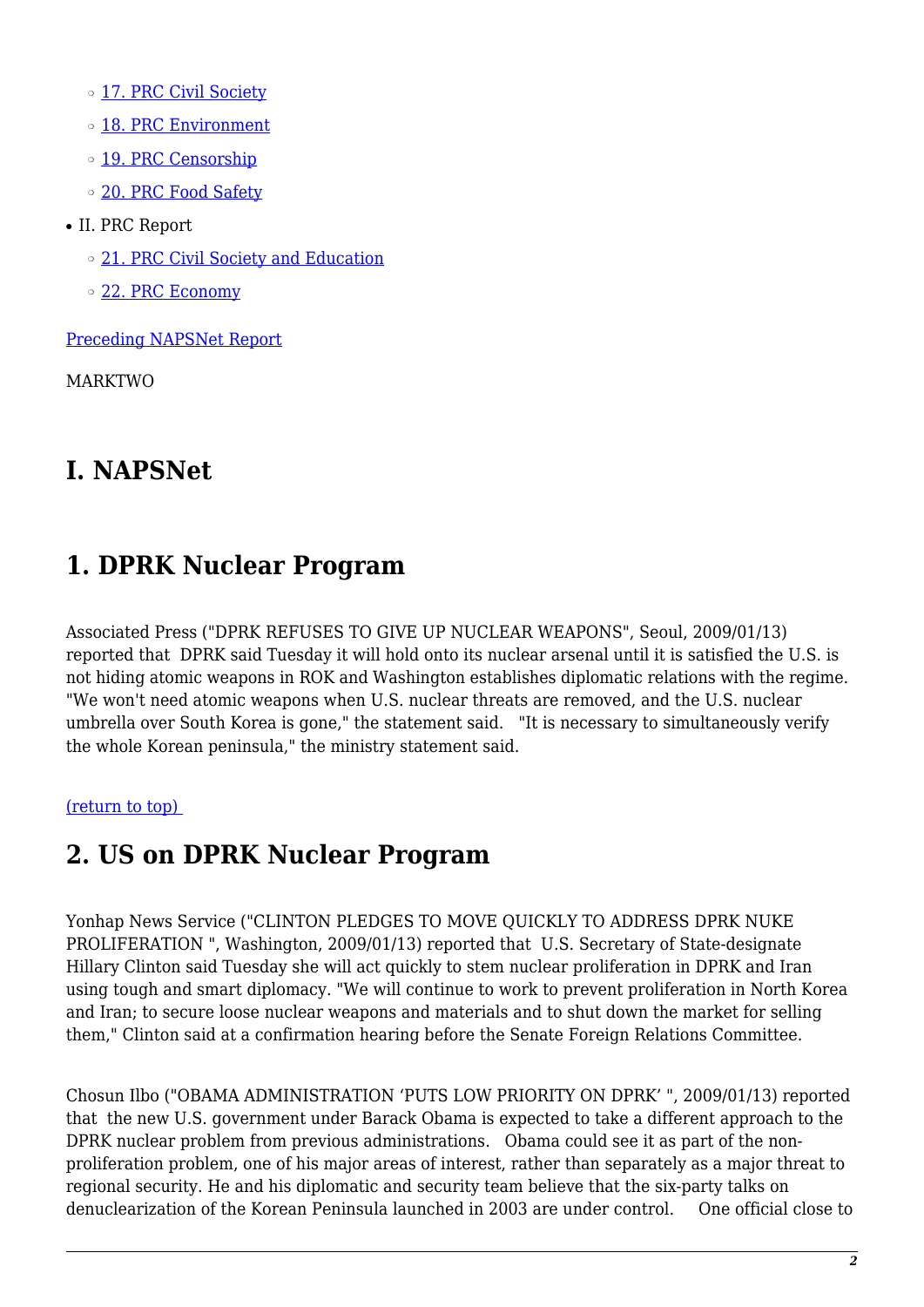- o [17. PRC Civil Society](#page-5-1)
- o [18. PRC Environment](#page-5-2)
- o [19. PRC Censorship](#page-6-0)
- o [20. PRC Food Safety](#page-6-1)
- II. PRC Report
	- o [21. PRC Civil Society and Education](#page-7-0)
	- ❍ [22. PRC Economy](#page-7-1)

[Preceding NAPSNet Report](https://nautilus.org/mailing-lists/napsnet/dr/2009-2/napsnet-daily-report-13-january-2009/)

MARKTWO

#### **I. NAPSNet**

#### <span id="page-1-0"></span>**1. DPRK Nuclear Program**

Associated Press ("DPRK REFUSES TO GIVE UP NUCLEAR WEAPONS", Seoul, 2009/01/13) reported that DPRK said Tuesday it will hold onto its nuclear arsenal until it is satisfied the U.S. is not hiding atomic weapons in ROK and Washington establishes diplomatic relations with the regime. "We won't need atomic weapons when U.S. nuclear threats are removed, and the U.S. nuclear umbrella over South Korea is gone," the statement said. "It is necessary to simultaneously verify the whole Korean peninsula," the ministry statement said.

#### <span id="page-1-1"></span>[\(return to top\)](#page-0-0)

#### **2. US on DPRK Nuclear Program**

Yonhap News Service ("CLINTON PLEDGES TO MOVE QUICKLY TO ADDRESS DPRK NUKE PROLIFERATION ", Washington, 2009/01/13) reported that U.S. Secretary of State-designate Hillary Clinton said Tuesday she will act quickly to stem nuclear proliferation in DPRK and Iran using tough and smart diplomacy. "We will continue to work to prevent proliferation in North Korea and Iran; to secure loose nuclear weapons and materials and to shut down the market for selling them," Clinton said at a confirmation hearing before the Senate Foreign Relations Committee.

Chosun Ilbo ("OBAMA ADMINISTRATION 'PUTS LOW PRIORITY ON DPRK' ", 2009/01/13) reported that the new U.S. government under Barack Obama is expected to take a different approach to the DPRK nuclear problem from previous administrations. Obama could see it as part of the nonproliferation problem, one of his major areas of interest, rather than separately as a major threat to regional security. He and his diplomatic and security team believe that the six-party talks on denuclearization of the Korean Peninsula launched in 2003 are under control. One official close to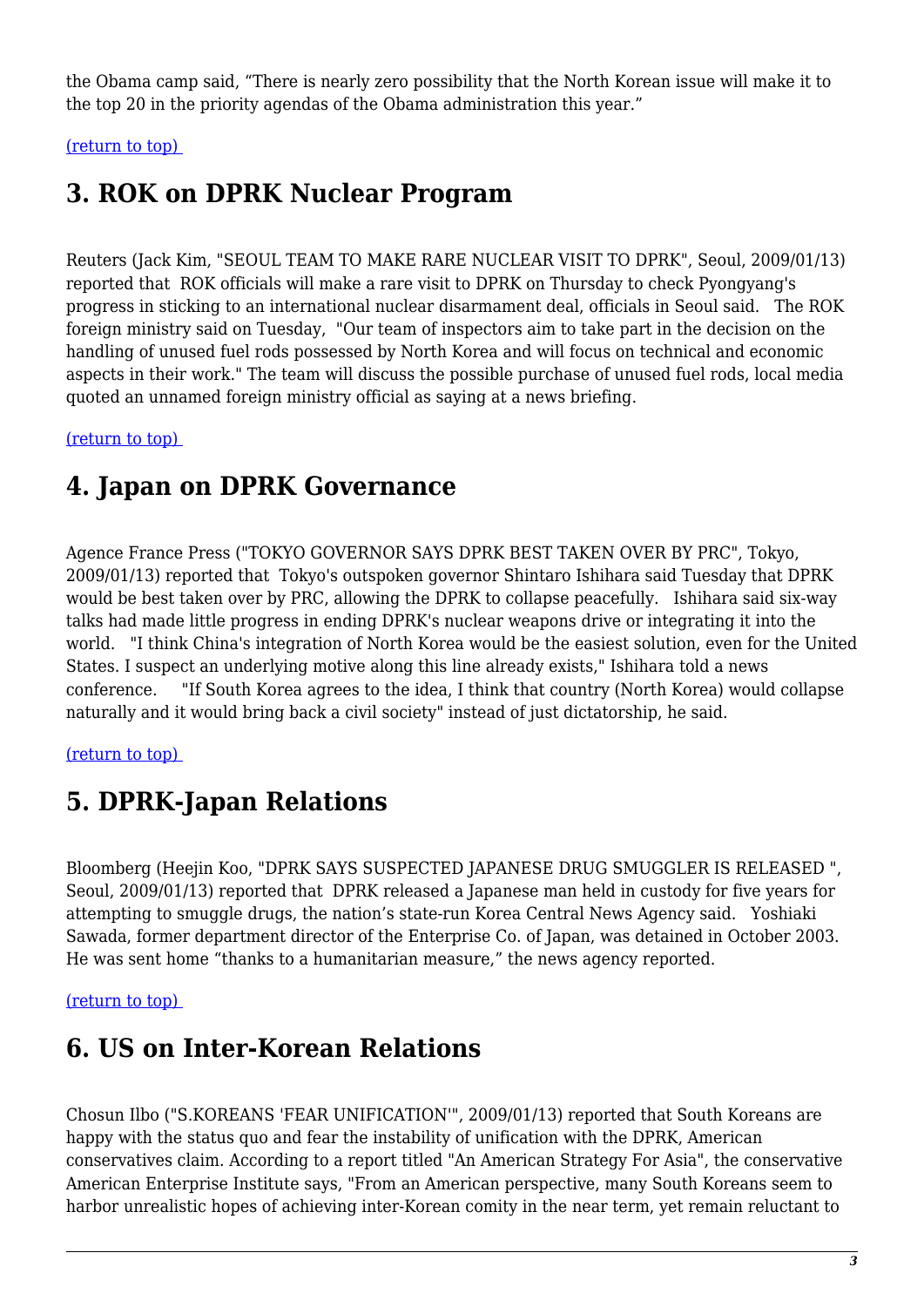the Obama camp said, "There is nearly zero possibility that the North Korean issue will make it to the top 20 in the priority agendas of the Obama administration this year."

<span id="page-2-0"></span>[\(return to top\)](#page-0-0) 

### **3. ROK on DPRK Nuclear Program**

Reuters (Jack Kim, "SEOUL TEAM TO MAKE RARE NUCLEAR VISIT TO DPRK", Seoul, 2009/01/13) reported that ROK officials will make a rare visit to DPRK on Thursday to check Pyongyang's progress in sticking to an international nuclear disarmament deal, officials in Seoul said. The ROK foreign ministry said on Tuesday, "Our team of inspectors aim to take part in the decision on the handling of unused fuel rods possessed by North Korea and will focus on technical and economic aspects in their work." The team will discuss the possible purchase of unused fuel rods, local media quoted an unnamed foreign ministry official as saying at a news briefing.

<span id="page-2-1"></span>[\(return to top\)](#page-0-0) 

# **4. Japan on DPRK Governance**

Agence France Press ("TOKYO GOVERNOR SAYS DPRK BEST TAKEN OVER BY PRC", Tokyo, 2009/01/13) reported that Tokyo's outspoken governor Shintaro Ishihara said Tuesday that DPRK would be best taken over by PRC, allowing the DPRK to collapse peacefully. Ishihara said six-way talks had made little progress in ending DPRK's nuclear weapons drive or integrating it into the world. "I think China's integration of North Korea would be the easiest solution, even for the United States. I suspect an underlying motive along this line already exists," Ishihara told a news conference. "If South Korea agrees to the idea, I think that country (North Korea) would collapse naturally and it would bring back a civil society" instead of just dictatorship, he said.

#### <span id="page-2-2"></span>[\(return to top\)](#page-0-0)

### **5. DPRK-Japan Relations**

Bloomberg (Heejin Koo, "DPRK SAYS SUSPECTED JAPANESE DRUG SMUGGLER IS RELEASED ", Seoul, 2009/01/13) reported that DPRK released a Japanese man held in custody for five years for attempting to smuggle drugs, the nation's state-run Korea Central News Agency said. Yoshiaki Sawada, former department director of the Enterprise Co. of Japan, was detained in October 2003. He was sent home "thanks to a humanitarian measure," the news agency reported.

#### <span id="page-2-3"></span>[\(return to top\)](#page-0-0)

### **6. US on Inter-Korean Relations**

Chosun Ilbo ("S.KOREANS 'FEAR UNIFICATION'", 2009/01/13) reported that South Koreans are happy with the status quo and fear the instability of unification with the DPRK, American conservatives claim. According to a report titled "An American Strategy For Asia", the conservative American Enterprise Institute says, "From an American perspective, many South Koreans seem to harbor unrealistic hopes of achieving inter-Korean comity in the near term, yet remain reluctant to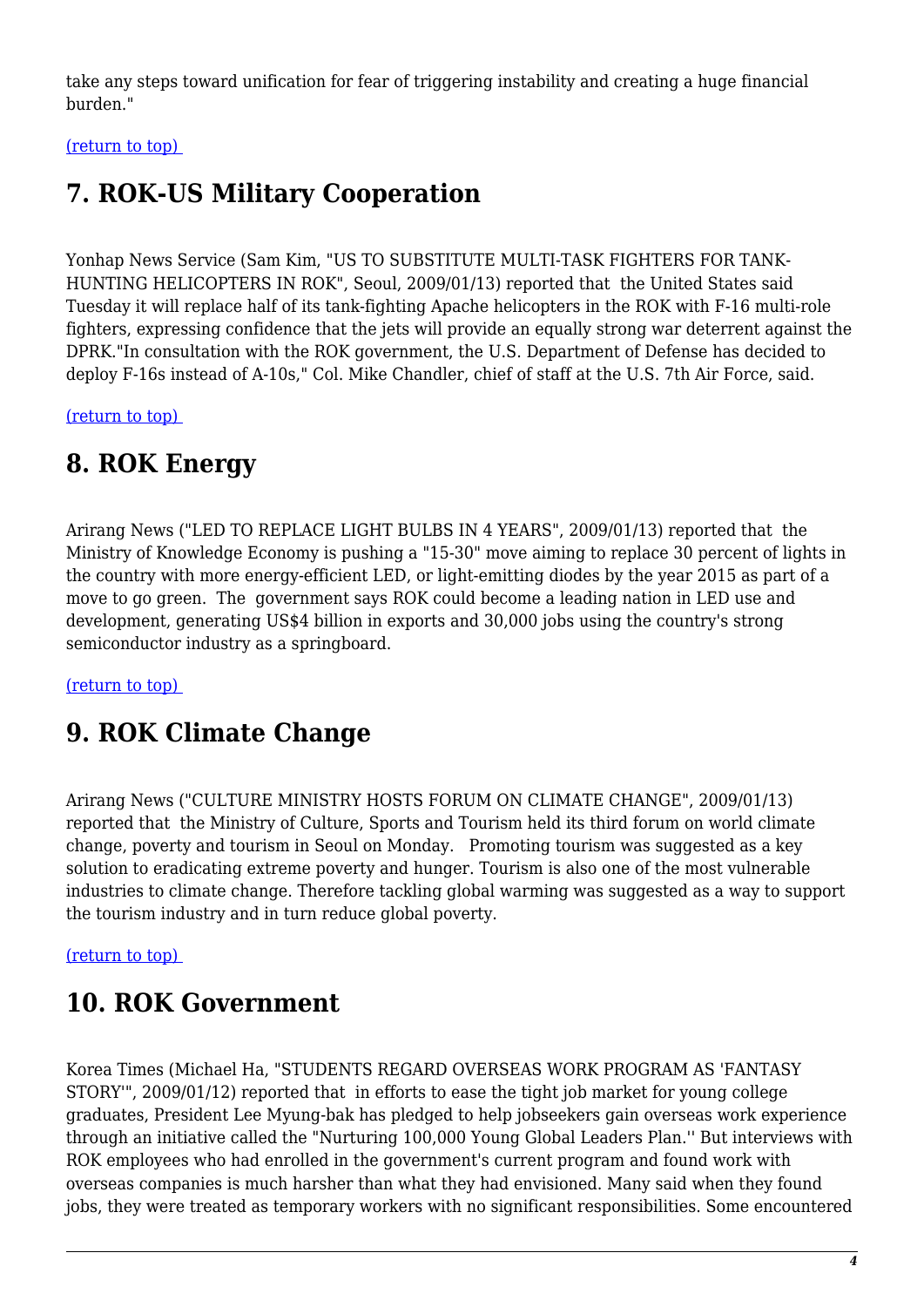take any steps toward unification for fear of triggering instability and creating a huge financial burden."

<span id="page-3-0"></span>[\(return to top\)](#page-0-0) 

# **7. ROK-US Military Cooperation**

Yonhap News Service (Sam Kim, "US TO SUBSTITUTE MULTI-TASK FIGHTERS FOR TANK-HUNTING HELICOPTERS IN ROK", Seoul, 2009/01/13) reported that the United States said Tuesday it will replace half of its tank-fighting Apache helicopters in the ROK with F-16 multi-role fighters, expressing confidence that the jets will provide an equally strong war deterrent against the DPRK."In consultation with the ROK government, the U.S. Department of Defense has decided to deploy F-16s instead of A-10s," Col. Mike Chandler, chief of staff at the U.S. 7th Air Force, said.

<span id="page-3-1"></span>[\(return to top\)](#page-0-0) 

# **8. ROK Energy**

Arirang News ("LED TO REPLACE LIGHT BULBS IN 4 YEARS", 2009/01/13) reported that the Ministry of Knowledge Economy is pushing a "15-30" move aiming to replace 30 percent of lights in the country with more energy-efficient LED, or light-emitting diodes by the year 2015 as part of a move to go green. The government says ROK could become a leading nation in LED use and development, generating US\$4 billion in exports and 30,000 jobs using the country's strong semiconductor industry as a springboard.

<span id="page-3-2"></span>[\(return to top\)](#page-0-0) 

# **9. ROK Climate Change**

Arirang News ("CULTURE MINISTRY HOSTS FORUM ON CLIMATE CHANGE", 2009/01/13) reported that the Ministry of Culture, Sports and Tourism held its third forum on world climate change, poverty and tourism in Seoul on Monday. Promoting tourism was suggested as a key solution to eradicating extreme poverty and hunger. Tourism is also one of the most vulnerable industries to climate change. Therefore tackling global warming was suggested as a way to support the tourism industry and in turn reduce global poverty.

#### <span id="page-3-3"></span>[\(return to top\)](#page-0-0)

# **10. ROK Government**

Korea Times (Michael Ha, "STUDENTS REGARD OVERSEAS WORK PROGRAM AS 'FANTASY STORY'", 2009/01/12) reported that in efforts to ease the tight job market for young college graduates, President Lee Myung-bak has pledged to help jobseekers gain overseas work experience through an initiative called the "Nurturing 100,000 Young Global Leaders Plan.'' But interviews with ROK employees who had enrolled in the government's current program and found work with overseas companies is much harsher than what they had envisioned. Many said when they found jobs, they were treated as temporary workers with no significant responsibilities. Some encountered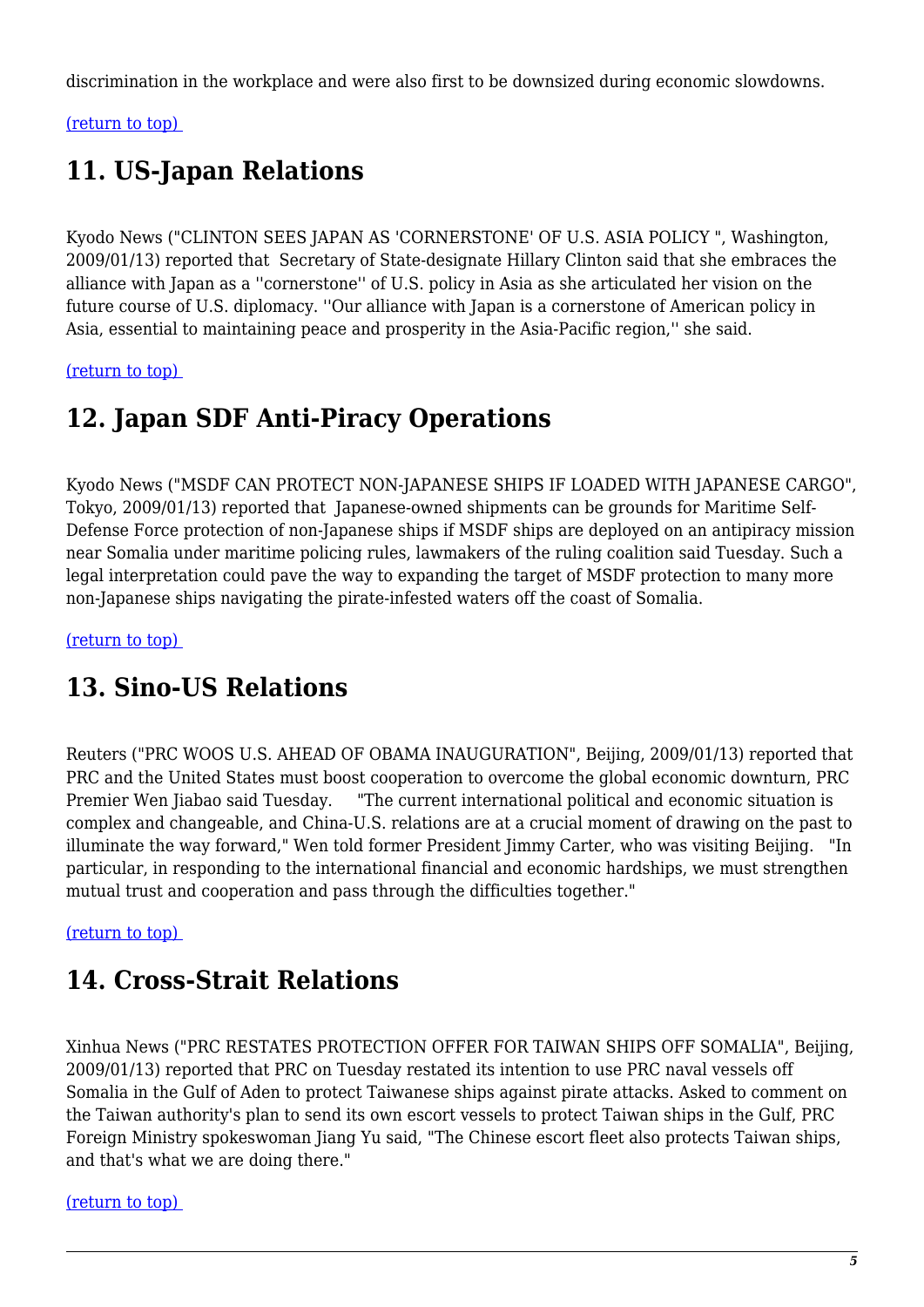discrimination in the workplace and were also first to be downsized during economic slowdowns.

<span id="page-4-0"></span>[\(return to top\)](#page-0-0) 

# **11. US-Japan Relations**

Kyodo News ("CLINTON SEES JAPAN AS 'CORNERSTONE' OF U.S. ASIA POLICY ", Washington, 2009/01/13) reported that Secretary of State-designate Hillary Clinton said that she embraces the alliance with Japan as a ''cornerstone'' of U.S. policy in Asia as she articulated her vision on the future course of U.S. diplomacy. ''Our alliance with Japan is a cornerstone of American policy in Asia, essential to maintaining peace and prosperity in the Asia-Pacific region,'' she said.

<span id="page-4-1"></span>[\(return to top\)](#page-0-0) 

# **12. Japan SDF Anti-Piracy Operations**

Kyodo News ("MSDF CAN PROTECT NON-JAPANESE SHIPS IF LOADED WITH JAPANESE CARGO", Tokyo, 2009/01/13) reported that Japanese-owned shipments can be grounds for Maritime Self-Defense Force protection of non-Japanese ships if MSDF ships are deployed on an antipiracy mission near Somalia under maritime policing rules, lawmakers of the ruling coalition said Tuesday. Such a legal interpretation could pave the way to expanding the target of MSDF protection to many more non-Japanese ships navigating the pirate-infested waters off the coast of Somalia.

<span id="page-4-2"></span>[\(return to top\)](#page-0-0) 

# **13. Sino-US Relations**

Reuters ("PRC WOOS U.S. AHEAD OF OBAMA INAUGURATION", Beijing, 2009/01/13) reported that PRC and the United States must boost cooperation to overcome the global economic downturn, PRC Premier Wen Jiabao said Tuesday. "The current international political and economic situation is complex and changeable, and China-U.S. relations are at a crucial moment of drawing on the past to illuminate the way forward," Wen told former President Jimmy Carter, who was visiting Beijing. "In particular, in responding to the international financial and economic hardships, we must strengthen mutual trust and cooperation and pass through the difficulties together."

<span id="page-4-3"></span>[\(return to top\)](#page-0-0) 

# **14. Cross-Strait Relations**

Xinhua News ("PRC RESTATES PROTECTION OFFER FOR TAIWAN SHIPS OFF SOMALIA", Beijing, 2009/01/13) reported that PRC on Tuesday restated its intention to use PRC naval vessels off Somalia in the Gulf of Aden to protect Taiwanese ships against pirate attacks. Asked to comment on the Taiwan authority's plan to send its own escort vessels to protect Taiwan ships in the Gulf, PRC Foreign Ministry spokeswoman Jiang Yu said, "The Chinese escort fleet also protects Taiwan ships, and that's what we are doing there."

<span id="page-4-4"></span>[\(return to top\)](#page-0-0)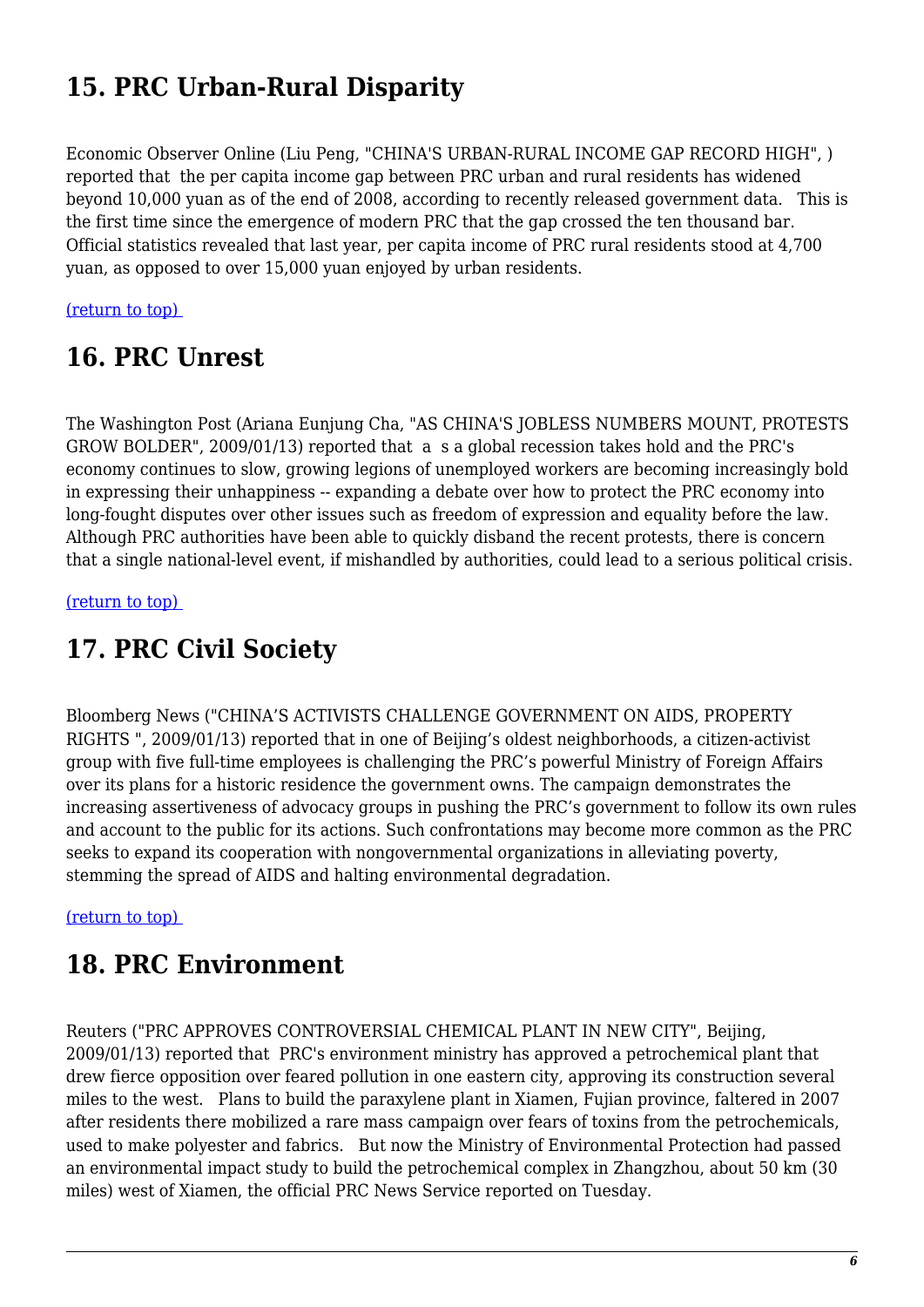# **15. PRC Urban-Rural Disparity**

Economic Observer Online (Liu Peng, "CHINA'S URBAN-RURAL INCOME GAP RECORD HIGH", ) reported that the per capita income gap between PRC urban and rural residents has widened beyond 10,000 yuan as of the end of 2008, according to recently released government data. This is the first time since the emergence of modern PRC that the gap crossed the ten thousand bar. Official statistics revealed that last year, per capita income of PRC rural residents stood at 4,700 yuan, as opposed to over 15,000 yuan enjoyed by urban residents.

#### <span id="page-5-0"></span>[\(return to top\)](#page-0-0)

#### **16. PRC Unrest**

The Washington Post (Ariana Eunjung Cha, "AS CHINA'S JOBLESS NUMBERS MOUNT, PROTESTS GROW BOLDER", 2009/01/13) reported that a s a global recession takes hold and the PRC's economy continues to slow, growing legions of unemployed workers are becoming increasingly bold in expressing their unhappiness -- expanding a debate over how to protect the PRC economy into long-fought disputes over other issues such as freedom of expression and equality before the law. Although PRC authorities have been able to quickly disband the recent protests, there is concern that a single national-level event, if mishandled by authorities, could lead to a serious political crisis.

<span id="page-5-1"></span>[\(return to top\)](#page-0-0) 

### **17. PRC Civil Society**

Bloomberg News ("CHINA'S ACTIVISTS CHALLENGE GOVERNMENT ON AIDS, PROPERTY RIGHTS ", 2009/01/13) reported that in one of Beijing's oldest neighborhoods, a citizen-activist group with five full-time employees is challenging the PRC's powerful Ministry of Foreign Affairs over its plans for a historic residence the government owns. The campaign demonstrates the increasing assertiveness of advocacy groups in pushing the PRC's government to follow its own rules and account to the public for its actions. Such confrontations may become more common as the PRC seeks to expand its cooperation with nongovernmental organizations in alleviating poverty, stemming the spread of AIDS and halting environmental degradation.

#### <span id="page-5-2"></span>[\(return to top\)](#page-0-0)

#### **18. PRC Environment**

Reuters ("PRC APPROVES CONTROVERSIAL CHEMICAL PLANT IN NEW CITY", Beijing, 2009/01/13) reported that PRC's environment ministry has approved a petrochemical plant that drew fierce opposition over feared pollution in one eastern city, approving its construction several miles to the west. Plans to build the paraxylene plant in Xiamen, Fujian province, faltered in 2007 after residents there mobilized a rare mass campaign over fears of toxins from the petrochemicals, used to make polyester and fabrics. But now the Ministry of Environmental Protection had passed an environmental impact study to build the petrochemical complex in Zhangzhou, about 50 km (30 miles) west of Xiamen, the official PRC News Service reported on Tuesday.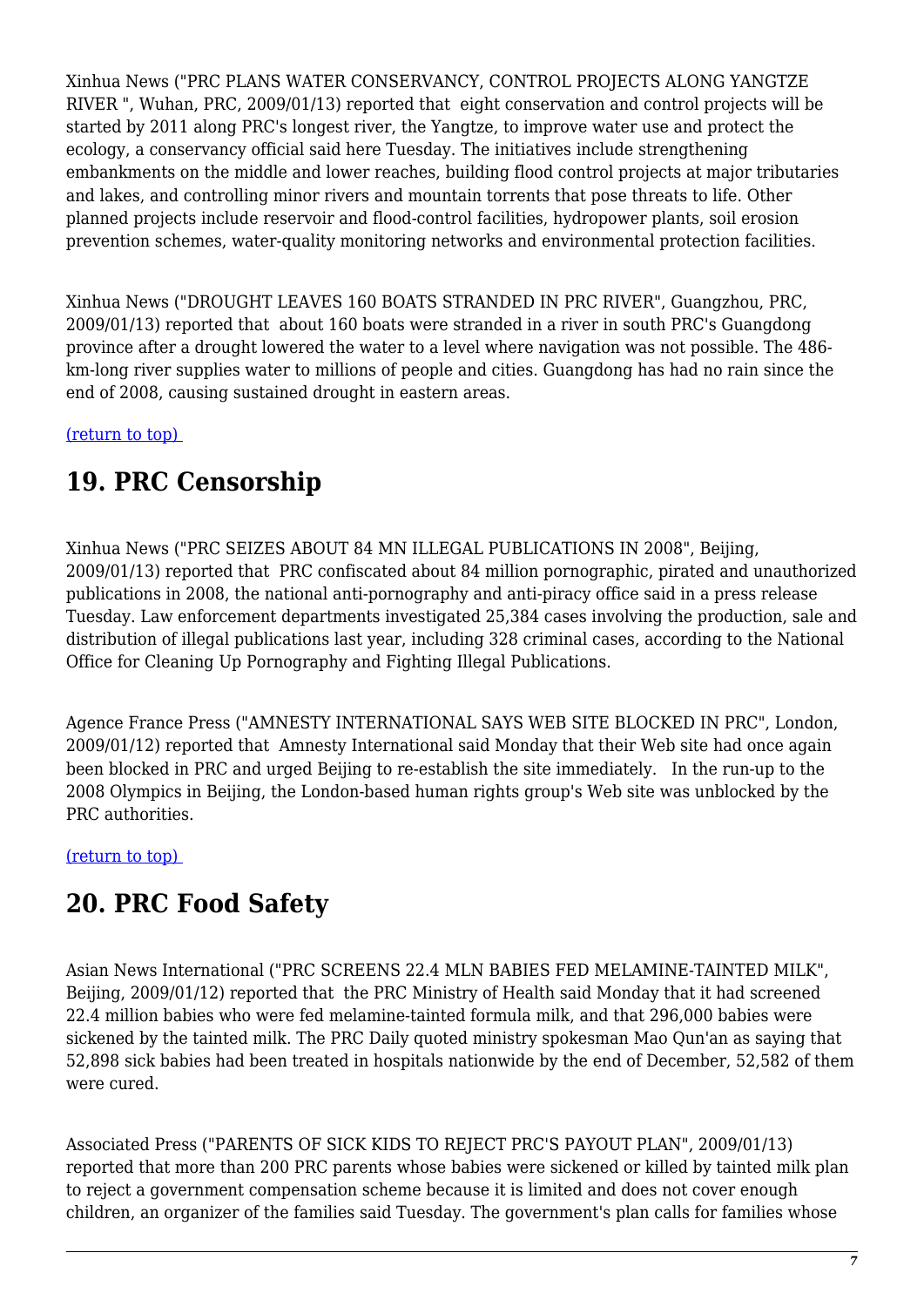Xinhua News ("PRC PLANS WATER CONSERVANCY, CONTROL PROJECTS ALONG YANGTZE RIVER ", Wuhan, PRC, 2009/01/13) reported that eight conservation and control projects will be started by 2011 along PRC's longest river, the Yangtze, to improve water use and protect the ecology, a conservancy official said here Tuesday. The initiatives include strengthening embankments on the middle and lower reaches, building flood control projects at major tributaries and lakes, and controlling minor rivers and mountain torrents that pose threats to life. Other planned projects include reservoir and flood-control facilities, hydropower plants, soil erosion prevention schemes, water-quality monitoring networks and environmental protection facilities.

Xinhua News ("DROUGHT LEAVES 160 BOATS STRANDED IN PRC RIVER", Guangzhou, PRC, 2009/01/13) reported that about 160 boats were stranded in a river in south PRC's Guangdong province after a drought lowered the water to a level where navigation was not possible. The 486 km-long river supplies water to millions of people and cities. Guangdong has had no rain since the end of 2008, causing sustained drought in eastern areas.

<span id="page-6-0"></span>[\(return to top\)](#page-0-0) 

# **19. PRC Censorship**

Xinhua News ("PRC SEIZES ABOUT 84 MN ILLEGAL PUBLICATIONS IN 2008", Beijing, 2009/01/13) reported that PRC confiscated about 84 million pornographic, pirated and unauthorized publications in 2008, the national anti-pornography and anti-piracy office said in a press release Tuesday. Law enforcement departments investigated 25,384 cases involving the production, sale and distribution of illegal publications last year, including 328 criminal cases, according to the National Office for Cleaning Up Pornography and Fighting Illegal Publications.

Agence France Press ("AMNESTY INTERNATIONAL SAYS WEB SITE BLOCKED IN PRC", London, 2009/01/12) reported that Amnesty International said Monday that their Web site had once again been blocked in PRC and urged Beijing to re-establish the site immediately. In the run-up to the 2008 Olympics in Beijing, the London-based human rights group's Web site was unblocked by the PRC authorities.

<span id="page-6-1"></span>[\(return to top\)](#page-0-0) 

# **20. PRC Food Safety**

Asian News International ("PRC SCREENS 22.4 MLN BABIES FED MELAMINE-TAINTED MILK", Beijing, 2009/01/12) reported that the PRC Ministry of Health said Monday that it had screened 22.4 million babies who were fed melamine-tainted formula milk, and that 296,000 babies were sickened by the tainted milk. The PRC Daily quoted ministry spokesman Mao Qun'an as saying that 52,898 sick babies had been treated in hospitals nationwide by the end of December, 52,582 of them were cured.

Associated Press ("PARENTS OF SICK KIDS TO REJECT PRC'S PAYOUT PLAN", 2009/01/13) reported that more than 200 PRC parents whose babies were sickened or killed by tainted milk plan to reject a government compensation scheme because it is limited and does not cover enough children, an organizer of the families said Tuesday. The government's plan calls for families whose